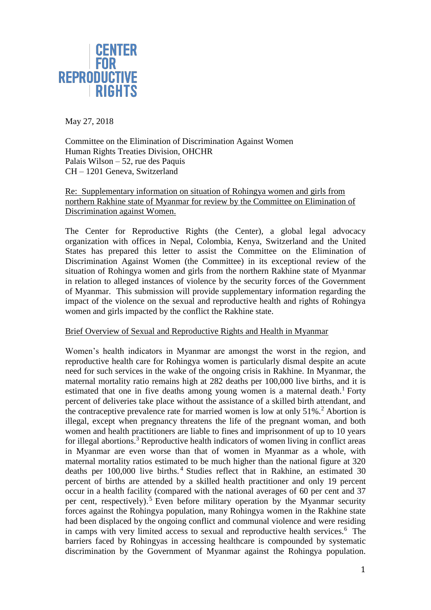

May 27, 2018

Committee on the Elimination of Discrimination Against Women Human Rights Treaties Division, OHCHR Palais Wilson – 52, rue des Paquis CH – 1201 Geneva, Switzerland

Re: Supplementary information on situation of Rohingya women and girls from northern Rakhine state of Myanmar for review by the Committee on Elimination of Discrimination against Women.

The Center for Reproductive Rights (the Center), a global legal advocacy organization with offices in Nepal, Colombia, Kenya, Switzerland and the United States has prepared this letter to assist the Committee on the Elimination of Discrimination Against Women (the Committee) in its exceptional review of the situation of Rohingya women and girls from the northern Rakhine state of Myanmar in relation to alleged instances of violence by the security forces of the Government of Myanmar. This submission will provide supplementary information regarding the impact of the violence on the sexual and reproductive health and rights of Rohingya women and girls impacted by the conflict the Rakhine state.

## Brief Overview of Sexual and Reproductive Rights and Health in Myanmar

Women's health indicators in Myanmar are amongst the worst in the region, and reproductive health care for Rohingya women is particularly dismal despite an acute need for such services in the wake of the ongoing crisis in Rakhine. In Myanmar, the maternal mortality ratio remains high at 282 deaths per 100,000 live births, and it is estimated that one in five deaths among young women is a maternal death.<sup>1</sup> Forty percent of deliveries take place without the assistance of a skilled birth attendant, and the contraceptive prevalence rate for married women is low at only  $51\%$ .<sup>2</sup> Abortion is illegal, except when pregnancy threatens the life of the pregnant woman, and both women and health practitioners are liable to fines and imprisonment of up to 10 years for illegal abortions.<sup>3</sup> Reproductive health indicators of women living in conflict areas in Myanmar are even worse than that of women in Myanmar as a whole, with maternal mortality ratios estimated to be much higher than the national figure at 320 deaths per 100,000 live births.<sup>4</sup> Studies reflect that in Rakhine, an estimated 30 percent of births are attended by a skilled health practitioner and only 19 percent occur in a health facility (compared with the national averages of 60 per cent and 37 per cent, respectively).<sup>5</sup> Even before military operation by the Myanmar security forces against the Rohingya population, many Rohingya women in the Rakhine state had been displaced by the ongoing conflict and communal violence and were residing in camps with very limited access to sexual and reproductive health services.<sup>6</sup> The barriers faced by Rohingyas in accessing healthcare is compounded by systematic discrimination by the Government of Myanmar against the Rohingya population.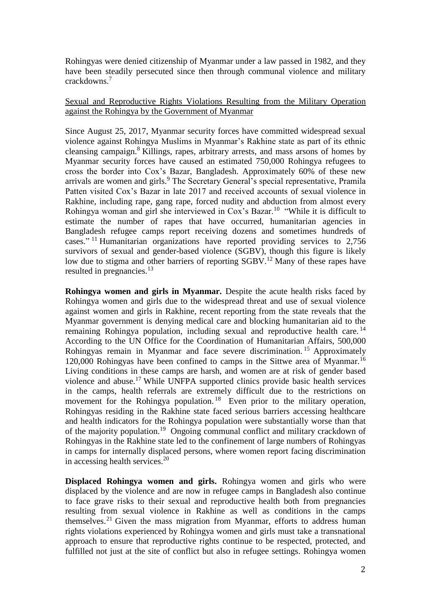Rohingyas were denied citizenship of Myanmar under a law passed in 1982, and they have been steadily persecuted since then through communal violence and military crackdowns.<sup>7</sup>

## Sexual and Reproductive Rights Violations Resulting from the Military Operation against the Rohingya by the Government of Myanmar

Since August 25, 2017, Myanmar security forces have committed widespread sexual violence against Rohingya Muslims in Myanmar's Rakhine state as part of its ethnic cleansing campaign.<sup>8</sup> Killings, rapes, arbitrary arrests, and mass arsons of homes by Myanmar security forces have caused an estimated 750,000 Rohingya refugees to cross the border into Cox's Bazar, Bangladesh. Approximately 60% of these new arrivals are women and girls.<sup>9</sup> The Secretary General's special representative, Pramila Patten visited Cox's Bazar in late 2017 and received accounts of sexual violence in Rakhine, including rape, gang rape, forced nudity and abduction from almost every Rohingya woman and girl she interviewed in Cox's Bazar.<sup>10</sup> "While it is difficult to estimate the number of rapes that have occurred, humanitarian agencies in Bangladesh refugee camps report receiving dozens and sometimes hundreds of cases."<sup>11</sup> Humanitarian organizations have reported providing services to 2,756 survivors of sexual and gender-based violence (SGBV), though this figure is likely low due to stigma and other barriers of reporting SGBV.<sup>12</sup> Many of these rapes have resulted in pregnancies.<sup>13</sup>

**Rohingya women and girls in Myanmar.** Despite the acute health risks faced by Rohingya women and girls due to the widespread threat and use of sexual violence against women and girls in Rakhine, recent reporting from the state reveals that the Myanmar government is denying medical care and blocking humanitarian aid to the remaining Rohingya population, including sexual and reproductive health care.<sup>14</sup> According to the UN Office for the Coordination of Humanitarian Affairs, 500,000 Rohingyas remain in Myanmar and face severe discrimination.<sup>15</sup> Approximately 120,000 Rohingyas have been confined to camps in the Sittwe area of Myanmar.<sup>16</sup> Living conditions in these camps are harsh, and women are at risk of gender based violence and abuse.<sup>17</sup> While UNFPA supported clinics provide basic health services in the camps, health referrals are extremely difficult due to the restrictions on movement for the Rohingya population.<sup>18</sup> Even prior to the military operation, Rohingyas residing in the Rakhine state faced serious barriers accessing healthcare and health indicators for the Rohingya population were substantially worse than that of the majority population.<sup>19</sup> Ongoing communal conflict and military crackdown of Rohingyas in the Rakhine state led to the confinement of large numbers of Rohingyas in camps for internally displaced persons, where women report facing discrimination in accessing health services. $20$ 

**Displaced Rohingya women and girls.** Rohingya women and girls who were displaced by the violence and are now in refugee camps in Bangladesh also continue to face grave risks to their sexual and reproductive health both from pregnancies resulting from sexual violence in Rakhine as well as conditions in the camps themselves.<sup>21</sup> Given the mass migration from Myanmar, efforts to address human rights violations experienced by Rohingya women and girls must take a transnational approach to ensure that reproductive rights continue to be respected, protected, and fulfilled not just at the site of conflict but also in refugee settings. Rohingya women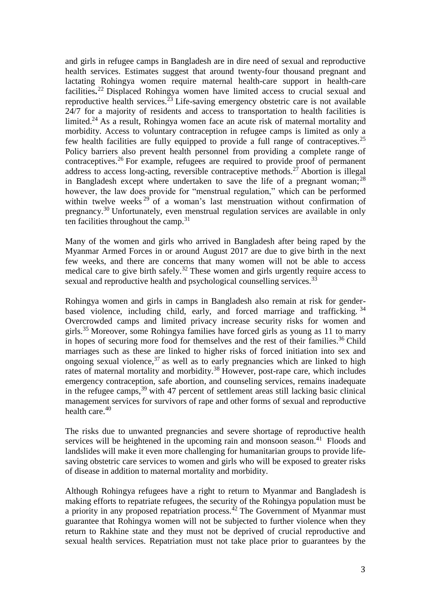and girls in refugee camps in Bangladesh are in dire need of sexual and reproductive health services. Estimates suggest that around twenty-four thousand pregnant and lactating Rohingya women require maternal health-care support in health-care facilities**.** <sup>22</sup> Displaced Rohingya women have limited access to crucial sexual and reproductive health services. $23$  Life-saving emergency obstetric care is not available 24/7 for a majority of residents and access to transportation to health facilities is limited.<sup>24</sup> As a result, Rohingya women face an acute risk of maternal mortality and morbidity. Access to voluntary contraception in refugee camps is limited as only a few health facilities are fully equipped to provide a full range of contraceptives.<sup>25</sup> Policy barriers also prevent health personnel from providing a complete range of contraceptives.<sup>26</sup> For example, refugees are required to provide proof of permanent address to access long-acting, reversible contraceptive methods.<sup>27</sup> Abortion is illegal in Bangladesh except where undertaken to save the life of a pregnant woman;<sup>28</sup> however, the law does provide for "menstrual regulation," which can be performed within twelve weeks<sup>29</sup> of a woman's last menstruation without confirmation of pregnancy.<sup>30</sup> Unfortunately, even menstrual regulation services are available in only ten facilities throughout the camp.<sup>31</sup>

Many of the women and girls who arrived in Bangladesh after being raped by the Myanmar Armed Forces in or around August 2017 are due to give birth in the next few weeks, and there are concerns that many women will not be able to access medical care to give birth safely.<sup>32</sup> These women and girls urgently require access to sexual and reproductive health and psychological counselling services.<sup>33</sup>

Rohingya women and girls in camps in Bangladesh also remain at risk for genderbased violence, including child, early, and forced marriage and trafficking. 34 Overcrowded camps and limited privacy increase security risks for women and girls.<sup>35</sup> Moreover, some Rohingya families have forced girls as young as 11 to marry in hopes of securing more food for themselves and the rest of their families.<sup>36</sup> Child marriages such as these are linked to higher risks of forced initiation into sex and ongoing sexual violence,  $37$  as well as to early pregnancies which are linked to high rates of maternal mortality and morbidity.<sup>38</sup> However, post-rape care, which includes emergency contraception, safe abortion, and counseling services, remains inadequate in the refugee camps,  $39$  with 47 percent of settlement areas still lacking basic clinical management services for survivors of rape and other forms of sexual and reproductive health care.<sup>40</sup>

The risks due to unwanted pregnancies and severe shortage of reproductive health services will be heightened in the upcoming rain and monsoon season. $41$  Floods and landslides will make it even more challenging for humanitarian groups to provide lifesaving obstetric care services to women and girls who will be exposed to greater risks of disease in addition to maternal mortality and morbidity.

Although Rohingya refugees have a right to return to Myanmar and Bangladesh is making efforts to repatriate refugees, the security of the Rohingya population must be a priority in any proposed repatriation process.<sup> $42$ </sup> The Government of Myanmar must guarantee that Rohingya women will not be subjected to further violence when they return to Rakhine state and they must not be deprived of crucial reproductive and sexual health services. Repatriation must not take place prior to guarantees by the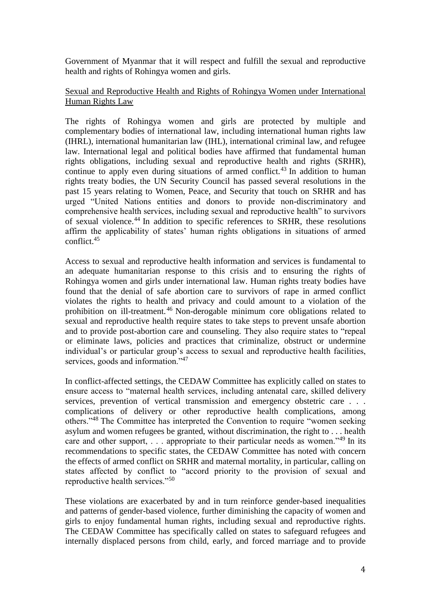Government of Myanmar that it will respect and fulfill the sexual and reproductive health and rights of Rohingya women and girls.

## Sexual and Reproductive Health and Rights of Rohingya Women under International Human Rights Law

The rights of Rohingya women and girls are protected by multiple and complementary bodies of international law, including international human rights law (IHRL), international humanitarian law (IHL), international criminal law, and refugee law. International legal and political bodies have affirmed that fundamental human rights obligations, including sexual and reproductive health and rights (SRHR), continue to apply even during situations of armed conflict.<sup>43</sup> In addition to human rights treaty bodies, the UN Security Council has passed several resolutions in the past 15 years relating to Women, Peace, and Security that touch on SRHR and has urged "United Nations entities and donors to provide non-discriminatory and comprehensive health services, including sexual and reproductive health" to survivors of sexual violence.<sup>44</sup> In addition to specific references to SRHR, these resolutions affirm the applicability of states' human rights obligations in situations of armed conflict.<sup>45</sup>

Access to sexual and reproductive health information and services is fundamental to an adequate humanitarian response to this crisis and to ensuring the rights of Rohingya women and girls under international law. Human rights treaty bodies have found that the denial of safe abortion care to survivors of rape in armed conflict violates the rights to health and privacy and could amount to a violation of the prohibition on ill-treatment. <sup>46</sup> Non-derogable minimum core obligations related to sexual and reproductive health require states to take steps to prevent unsafe abortion and to provide post-abortion care and counseling. They also require states to "repeal or eliminate laws, policies and practices that criminalize, obstruct or undermine individual's or particular group's access to sexual and reproductive health facilities, services, goods and information."<sup>47</sup>

In conflict-affected settings, the CEDAW Committee has explicitly called on states to ensure access to "maternal health services, including antenatal care, skilled delivery services, prevention of vertical transmission and emergency obstetric care . . . complications of delivery or other reproductive health complications, among others."<sup>48</sup> The Committee has interpreted the Convention to require "women seeking asylum and women refugees be granted, without discrimination, the right to . . . health care and other support, ... appropriate to their particular needs as women."<sup>49</sup> In its recommendations to specific states, the CEDAW Committee has noted with concern the effects of armed conflict on SRHR and maternal mortality, in particular, calling on states affected by conflict to "accord priority to the provision of sexual and reproductive health services."<sup>50</sup>

These violations are exacerbated by and in turn reinforce gender-based inequalities and patterns of gender-based violence, further diminishing the capacity of women and girls to enjoy fundamental human rights, including sexual and reproductive rights. The CEDAW Committee has specifically called on states to safeguard refugees and internally displaced persons from child, early, and forced marriage and to provide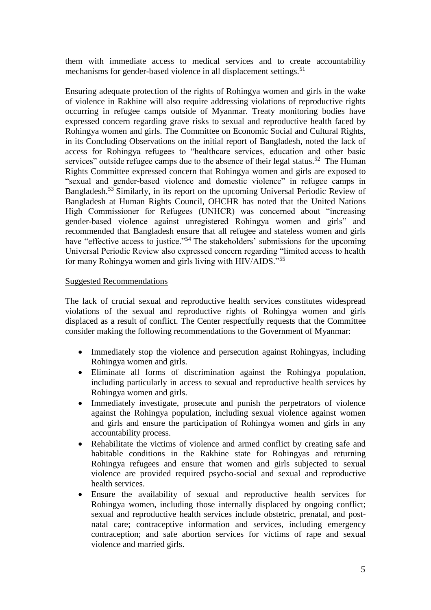them with immediate access to medical services and to create accountability mechanisms for gender-based violence in all displacement settings.<sup>51</sup>

Ensuring adequate protection of the rights of Rohingya women and girls in the wake of violence in Rakhine will also require addressing violations of reproductive rights occurring in refugee camps outside of Myanmar. Treaty monitoring bodies have expressed concern regarding grave risks to sexual and reproductive health faced by Rohingya women and girls. The Committee on Economic Social and Cultural Rights, in its Concluding Observations on the initial report of Bangladesh, noted the lack of access for Rohingya refugees to "healthcare services, education and other basic services" outside refugee camps due to the absence of their legal status.<sup>52</sup> The Human Rights Committee expressed concern that Rohingya women and girls are exposed to "sexual and gender-based violence and domestic violence" in refugee camps in Bangladesh.<sup>53</sup> Similarly, in its report on the upcoming Universal Periodic Review of Bangladesh at Human Rights Council, OHCHR has noted that the United Nations High Commissioner for Refugees (UNHCR) was concerned about "increasing gender-based violence against unregistered Rohingya women and girls" and recommended that Bangladesh ensure that all refugee and stateless women and girls have "effective access to justice."<sup>54</sup> The stakeholders' submissions for the upcoming Universal Periodic Review also expressed concern regarding "limited access to health for many Rohingya women and girls living with HIV/AIDS."<sup>55</sup>

## Suggested Recommendations

The lack of crucial sexual and reproductive health services constitutes widespread violations of the sexual and reproductive rights of Rohingya women and girls displaced as a result of conflict. The Center respectfully requests that the Committee consider making the following recommendations to the Government of Myanmar:

- Immediately stop the violence and persecution against Rohingyas, including Rohingya women and girls.
- Eliminate all forms of discrimination against the Rohingya population, including particularly in access to sexual and reproductive health services by Rohingya women and girls.
- Immediately investigate, prosecute and punish the perpetrators of violence against the Rohingya population, including sexual violence against women and girls and ensure the participation of Rohingya women and girls in any accountability process.
- Rehabilitate the victims of violence and armed conflict by creating safe and habitable conditions in the Rakhine state for Rohingyas and returning Rohingya refugees and ensure that women and girls subjected to sexual violence are provided required psycho-social and sexual and reproductive health services.
- Ensure the availability of sexual and reproductive health services for Rohingya women, including those internally displaced by ongoing conflict; sexual and reproductive health services include obstetric, prenatal, and postnatal care; contraceptive information and services, including emergency contraception; and safe abortion services for victims of rape and sexual violence and married girls.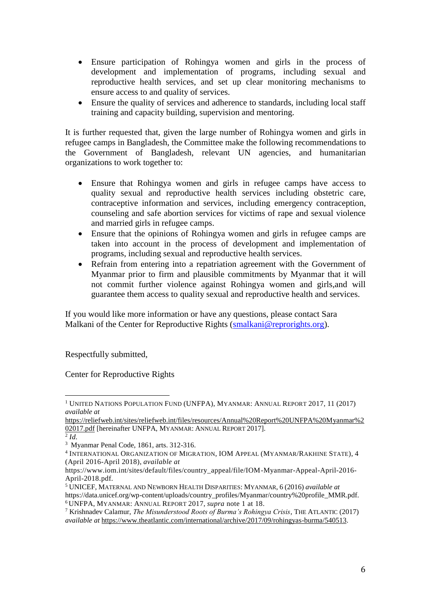- Ensure participation of Rohingya women and girls in the process of development and implementation of programs, including sexual and reproductive health services, and set up clear monitoring mechanisms to ensure access to and quality of services.
- Ensure the quality of services and adherence to standards, including local staff training and capacity building, supervision and mentoring.

It is further requested that, given the large number of Rohingya women and girls in refugee camps in Bangladesh, the Committee make the following recommendations to the Government of Bangladesh, relevant UN agencies, and humanitarian organizations to work together to:

- Ensure that Rohingya women and girls in refugee camps have access to quality sexual and reproductive health services including obstetric care, contraceptive information and services, including emergency contraception, counseling and safe abortion services for victims of rape and sexual violence and married girls in refugee camps.
- Ensure that the opinions of Rohingya women and girls in refugee camps are taken into account in the process of development and implementation of programs, including sexual and reproductive health services.
- Refrain from entering into a repatriation agreement with the Government of Myanmar prior to firm and plausible commitments by Myanmar that it will not commit further violence against Rohingya women and girls,and will guarantee them access to quality sexual and reproductive health and services.

If you would like more information or have any questions, please contact Sara Malkani of the Center for Reproductive Rights [\(smalkani@reprorights.org\)](mailto:smalkani@reprorights.org).

Respectfully submitted,

Center for Reproductive Rights

 $\overline{a}$ <sup>1</sup> UNITED NATIONS POPULATION FUND (UNFPA), MYANMAR: ANNUAL REPORT 2017, 11 (2017) *available at*

[https://reliefweb.int/sites/reliefweb.int/files/resources/Annual%20Report%20UNFPA%20Myanmar%2](https://reliefweb.int/sites/reliefweb.int/files/resources/Annual%20Report%20UNFPA%20Myanmar%202017.pdf) [02017.pdf](https://reliefweb.int/sites/reliefweb.int/files/resources/Annual%20Report%20UNFPA%20Myanmar%202017.pdf) [hereinafter UNFPA, MYANMAR: ANNUAL REPORT 2017].

<sup>2</sup> *Id.*

<sup>3</sup> Myanmar Penal Code, 1861, arts. 312-316.

<sup>4</sup> INTERNATIONAL ORGANIZATION OF MIGRATION, IOM APPEAL (MYANMAR/RAKHINE STATE), 4 (April 2016-April 2018), *available at* 

https://www.iom.int/sites/default/files/country\_appeal/file/IOM-Myanmar-Appeal-April-2016- April-2018.pdf.

<sup>5</sup> UNICEF, MATERNAL AND NEWBORN HEALTH DISPARITIES: MYANMAR, 6 (2016) *available at*  https://data.unicef.org/wp-content/uploads/country\_profiles/Myanmar/country%20profile\_MMR.pdf*.* <sup>6</sup> UNFPA, MYANMAR: ANNUAL REPORT 2017, *supra* note 1 at 18.

<sup>7</sup> Krishnadev Calamur, *The Misunderstood Roots of Burma's Rohingya Crisis*, THE ATLANTIC (2017) *available at* [https://www.theatlantic.com/international/archive/2017/09/rohingyas-burma/540513.](https://www.theatlantic.com/international/archive/2017/09/rohingyas-burma/540513)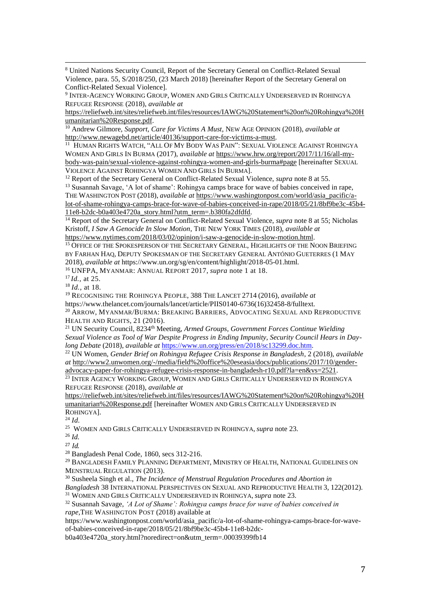$\overline{a}$ <sup>8</sup> United Nations Security Council, Report of the Secretary General on Conflict-Related Sexual Violence, para. 55, S/2018/250, (23 March 2018) [hereinafter Report of the Secretary General on Conflict-Related Sexual Violence].

9 INTER-AGENCY WORKING GROUP, WOMEN AND GIRLS CRITICALLY UNDERSERVED IN ROHINGYA REFUGEE RESPONSE (2018), *available at*

[https://reliefweb.int/sites/reliefweb.int/files/resources/IAWG%20Statement%20on%20Rohingya%20H](https://reliefweb.int/sites/reliefweb.int/files/resources/IAWG%20Statement%20on%20Rohingya%20Humanitarian%20Response.pdf) [umanitarian%20Response.pdf.](https://reliefweb.int/sites/reliefweb.int/files/resources/IAWG%20Statement%20on%20Rohingya%20Humanitarian%20Response.pdf)

<sup>10</sup> Andrew Gilmore, *Support, Care for Victims A Must*, NEW AGE OPINION (2018), *available at* [http://www.newagebd.net/article/40136/support-care-for-victims-a-must.](http://www.newagebd.net/article/40136/support-care-for-victims-a-must)

11 HUMAN RIGHTS WATCH, "ALL OF MY BODY WAS PAIN": SEXUAL VIOLENCE AGAINST ROHINGYA WOMEN AND GIRLS IN BURMA (2017), *available at* [https://www.hrw.org/report/2017/11/16/all-my](https://www.hrw.org/report/2017/11/16/all-my-body-was-pain/sexual-violence-against-rohingya-women-and-girls-burma#page)[body-was-pain/sexual-violence-against-rohingya-women-and-girls-burma#page](https://www.hrw.org/report/2017/11/16/all-my-body-was-pain/sexual-violence-against-rohingya-women-and-girls-burma#page) [hereinafter SEXUAL VIOLENCE AGAINST ROHINGYA WOMEN AND GIRLS IN BURMA].

<sup>12</sup> Report of the Secretary General on Conflict-Related Sexual Violence, *supra* note 8 at 55.

<sup>13</sup> Susannah Savage, 'A lot of shame': Rohingya camps brace for wave of babies conceived in rape, THE WASHINGTON POST (2018), *available at* [https://www.washingtonpost.com/world/asia\\_pacific/a](https://www.washingtonpost.com/world/asia_pacific/a-lot-of-shame-rohingya-camps-brace-for-wave-of-babies-conceived-in-rape/2018/05/21/8bf9be3c-45b4-11e8-b2dc-b0a403e4720a_story.html?utm_term=.b380fa2dfdfd)[lot-of-shame-rohingya-camps-brace-for-wave-of-babies-conceived-in-rape/2018/05/21/8bf9be3c-45b4-](https://www.washingtonpost.com/world/asia_pacific/a-lot-of-shame-rohingya-camps-brace-for-wave-of-babies-conceived-in-rape/2018/05/21/8bf9be3c-45b4-11e8-b2dc-b0a403e4720a_story.html?utm_term=.b380fa2dfdfd) [11e8-b2dc-b0a403e4720a\\_story.html?utm\\_term=.b380fa2dfdfd.](https://www.washingtonpost.com/world/asia_pacific/a-lot-of-shame-rohingya-camps-brace-for-wave-of-babies-conceived-in-rape/2018/05/21/8bf9be3c-45b4-11e8-b2dc-b0a403e4720a_story.html?utm_term=.b380fa2dfdfd)

<sup>14</sup> Report of the Secretary General on Conflict-Related Sexual Violence, *supra* note 8 at 55; Nicholas Kristoff, *I Saw A Genocide In Slow Motion*, THE NEW YORK TIMES (2018), *available at* [https://www.nytimes.com/2018/03/02/opinion/i-saw-a-genocide-in-slow-motion.html.](https://www.nytimes.com/2018/03/02/opinion/i-saw-a-genocide-in-slow-motion.html) 

<sup>15</sup> OFFICE OF THE SPOKESPERSON OF THE SECRETARY GENERAL, HIGHLIGHTS OF THE NOON BRIEFING BY FARHAN HAQ, DEPUTY SPOKESMAN OF THE SECRETARY GENERAL ANTÓNIO GUETERRES (1 MAY 2018), *available at* https://www.un.org/sg/en/content/highlight/2018-05-01.html*.*

<sup>16</sup> UNFPA, MYANMAR: ANNUAL REPORT 2017, *supra* note 1 at 18.

<sup>17</sup> *Id.,* at 25.

<sup>18</sup> *Id.,* at 18.

<sup>19</sup> RECOGNISING THE ROHINGYA PEOPLE, 388 THE LANCET 2714 (2016), *available at* https://www.thelancet.com/journals/lancet/article/PIIS0140-6736(16)32458-8/fulltext.

<sup>20</sup> ARROW, MYANMAR/BURMA: BREAKING BARRIERS, ADVOCATING SEXUAL AND REPRODUCTIVE HEALTH AND RIGHTS, 21 (2016).

<sup>21</sup> UN Security Council, 8234<sup>th</sup> Meeting, *Armed Groups, Government Forces Continue Wielding Sexual Violence as Tool of War Despite Progress in Ending Impunity, Security Council Hears in Daylong Debate* (2018), *available at* [https://www.un.org/press/en/2018/sc13299.doc.htm.](https://www.un.org/press/en/2018/sc13299.doc.htm) 

<sup>22</sup> UN Women, *Gender Brief on Rohingya Refugee Crisis Response in Bangladesh*, 2 (2018), *available at* [http://www2.unwomen.org/-/media/field%20office%20eseasia/docs/publications/2017/10/gender-](http://www2.unwomen.org/-/media/field%20office%20eseasia/docs/publications/2017/10/gender-advocacy-paper-for-rohingya-refugee-crisis-response-in-bangladesh-r10.pdf?la=en&vs=2521)

[advocacy-paper-for-rohingya-refugee-crisis-response-in-bangladesh-r10.pdf?la=en&vs=2521.](http://www2.unwomen.org/-/media/field%20office%20eseasia/docs/publications/2017/10/gender-advocacy-paper-for-rohingya-refugee-crisis-response-in-bangladesh-r10.pdf?la=en&vs=2521)  $^{23}$  Inter Agency Working Group, Women and Girls Critically Underserved in Rohingya REFUGEE RESPONSE (2018), *available at*

[https://reliefweb.int/sites/reliefweb.int/files/resources/IAWG%20Statement%20on%20Rohingya%20H](https://reliefweb.int/sites/reliefweb.int/files/resources/IAWG%20Statement%20on%20Rohingya%20Humanitarian%20Response.pdf) [umanitarian%20Response.pdf](https://reliefweb.int/sites/reliefweb.int/files/resources/IAWG%20Statement%20on%20Rohingya%20Humanitarian%20Response.pdf) [hereinafter WOMEN AND GIRLS CRITICALLY UNDERSERVED IN ROHINGYA].

<sup>24</sup> *Id.*

25 WOMEN AND GIRLS CRITICALLY UNDERSERVED IN ROHINGYA, *supra* note 23.

<sup>26</sup> *Id.*

<sup>27</sup> *Id.*

<sup>28</sup> Bangladesh Penal Code, 1860, secs 312-216.

<sup>29</sup> BANGLADESH FAMILY PLANNING DEPARTMENT, MINISTRY OF HEALTH, NATIONAL GUIDELINES ON MENSTRUAL REGULATION (2013).

<sup>30</sup> Susheela Singh et al., *The Incidence of Menstrual Regulation Procedures and Abortion in Bangladesh* 38 INTERNATIONAL PERSPECTIVES ON SEXUAL AND REPRODUCTIVE HEALTH 3, 122(2012). <sup>31</sup> WOMEN AND GIRLS CRITICALLY UNDERSERVED IN ROHINGYA, *supra* note 23.

<sup>32</sup> Susannah Savage, *'A Lot of Shame': Rohingya camps brace for wave of babies conceived in rape,*THE WASHINGTON POST (2018) available at

https://www.washingtonpost.com/world/asia\_pacific/a-lot-of-shame-rohingya-camps-brace-for-waveof-babies-conceived-in-rape/2018/05/21/8bf9be3c-45b4-11e8-b2dc-

b0a403e4720a\_story.html?noredirect=on&utm\_term=.00039399fb14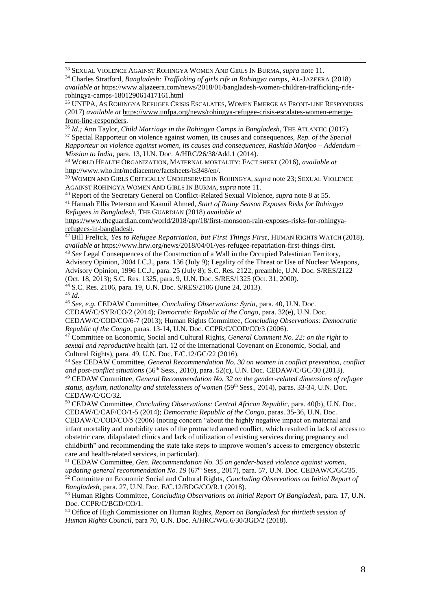<sup>33</sup> SEXUAL VIOLENCE AGAINST ROHINGYA WOMEN AND GIRLS IN BURMA, *supra* note 11.

<sup>34</sup> Charles Stratford, *Bangladesh: Trafficking of girls rife in Rohingya camps*, AL-JAZEERA (2018) *available at* https://www.aljazeera.com/news/2018/01/bangladesh-women-children-trafficking-riferohingya-camps-180129061417161.html

<sup>35</sup> UNFPA, AS ROHINGYA REFUGEE CRISIS ESCALATES, WOMEN EMERGE AS FRONT-LINE RESPONDERS (2017) *available at* [https://www.unfpa.org/news/rohingya-refugee-crisis-escalates-women-emerge](https://www.unfpa.org/news/rohingya-refugee-crisis-escalates-women-emerge-front-line-responders)[front-line-responders.](https://www.unfpa.org/news/rohingya-refugee-crisis-escalates-women-emerge-front-line-responders) 

<sup>36</sup> *Id.;* Ann Taylor, *Child Marriage in the Rohingya Camps in Bangladesh*, THE ATLANTIC (2017). <sup>37</sup> Special Rapporteur on violence against women, its causes and consequences, *Rep. of the Special Rapporteur on violence against women, its causes and consequences, Rashida Manjoo – Addendum – Mission to India,* para. 13, U.N. Doc. A/HRC/26/38/Add.1 (2014).

<sup>38</sup> WORLD HEALTH ORGANIZATION, MATERNAL MORTALITY: FACT SHEET (2016), *available at* http://www.who.int/mediacentre/factsheets/fs348/en/.

<sup>39</sup> WOMEN AND GIRLS CRITICALLY UNDERSERVED IN ROHINGYA, *supra* note 23; SEXUAL VIOLENCE AGAINST ROHINGYA WOMEN AND GIRLS IN BURMA, *supra* note 11.

<sup>40</sup> Report of the Secretary General on Conflict-Related Sexual Violence, *supra* note 8 at 55. <sup>41</sup> Hannah Ellis Peterson and Kaamil Ahmed, *Start of Rainy Season Exposes Risks for Rohingya Refugees in Bangladesh*, THE GUARDIAN (2018) *available at*

[https://www.theguardian.com/world/2018/apr/18/first-monsoon-rain-exposes-risks-for-rohingya](https://www.theguardian.com/world/2018/apr/18/first-monsoon-rain-exposes-risks-for-rohingya-refugees-in-bangladesh)[refugees-in-bangladesh.](https://www.theguardian.com/world/2018/apr/18/first-monsoon-rain-exposes-risks-for-rohingya-refugees-in-bangladesh) 

<sup>42</sup> Bill Frelick, *Yes to Refugee Repatriation, but First Things First*, HUMAN RIGHTS WATCH (2018), *available at* [https://www.hrw.org/news/2018/04/01/yes-refugee-repatriation-first-things-first.](https://www.hrw.org/news/2018/04/01/yes-refugee-repatriation-first-things-first)

<sup>43</sup> *See* Legal Consequences of the Construction of a Wall in the Occupied Palestinian Territory, Advisory Opinion, 2004 I.C.J., para. 136 (July 9); Legality of the Threat or Use of Nuclear Weapons, Advisory Opinion, 1996 I.C.J., para. 25 (July 8); S.C. Res. 2122, preamble, U.N. Doc. S/RES/2122 (Oct. 18, 2013); S.C. Res. 1325, para. 9, U.N. Doc. S/RES/1325 (Oct. 31, 2000). <sup>44</sup> S.C. Res. 2106, para. 19, U.N. Doc. S/RES/2106 (June 24, 2013).

<sup>45</sup> *Id.*

 $\overline{a}$ 

<sup>46</sup> *See, e.g.* CEDAW Committee, *Concluding Observations: Syria*, para. 40, U.N. Doc. CEDAW/C/SYR/CO/2 (2014); *Democratic Republic of the Congo*, para. 32(e), U.N. Doc. CEDAW/C/COD/CO/6-7 (2013); Human Rights Committee, *Concluding Observations: Democratic Republic of the Congo*, paras. 13-14, U.N. Doc. CCPR/C/COD/CO/3 (2006).

<sup>47</sup> Committee on Economic, Social and Cultural Rights, *General Comment No. 22: on the right to sexual and reproductive* health (art. 12 of the International Covenant on Economic, Social, and Cultural Rights), para. 49, U.N. Doc. E/C.12/GC/22 (2016).

<sup>48</sup> *See* CEDAW Committee, *General Recommendation No. 30 on women in conflict prevention, conflict*  and post-conflict situations (56<sup>th</sup> Sess., 2010), para. 52(c), U.N. Doc. CEDAW/C/GC/30 (2013).

<sup>49</sup> CEDAW Committee, *General Recommendation No. 32 on the gender-related dimensions of refugee status, asylum, nationality and statelessness of women (59<sup>th</sup> Sess., 2014), paras. 33-34, U.N. Doc.* CEDAW/C/GC/32.

<sup>50</sup> CEDAW Committee, *Concluding Observations: Central African Republic*, para. 40(b), U.N. Doc. CEDAW/C/CAF/CO/1-5 (2014); *Democratic Republic of the Congo*, paras. 35-36, U.N. Doc. CEDAW/C/COD/CO/5 (2006) (noting concern "about the highly negative impact on maternal and infant mortality and morbidity rates of the protracted armed conflict, which resulted in lack of access to obstetric care, dilapidated clinics and lack of utilization of existing services during pregnancy and childbirth" and recommending the state take steps to improve women's access to emergency obstetric care and health-related services, in particular).

<sup>51</sup> CEDAW Committee, *Gen. Recommendation No. 35 on gender-based violence against women,*  updating general recommendation No. 19 (67<sup>th</sup> Sess., 2017), para. 57, U.N. Doc. CEDAW/C/GC/35. <sup>52</sup> Committee on Economic Social and Cultural Rights, *Concluding Observations on Initial Report of Bangladesh*, para. 27, U.N. Doc. E/C.12/BDG/CO/R.1 (2018).

<sup>53</sup> Human Rights Committee, *Concluding Observations on Initial Report Of Bangladesh*, para. 17, U.N. Doc. CCPR/C/BGD/CO/1.

<sup>54</sup> Office of High Commissioner on Human Rights, *Report on Bangladesh for thirtieth session of Human Rights Council*, para 70, U.N. Doc. A/HRC/WG.6/30/3GD/2 (2018).